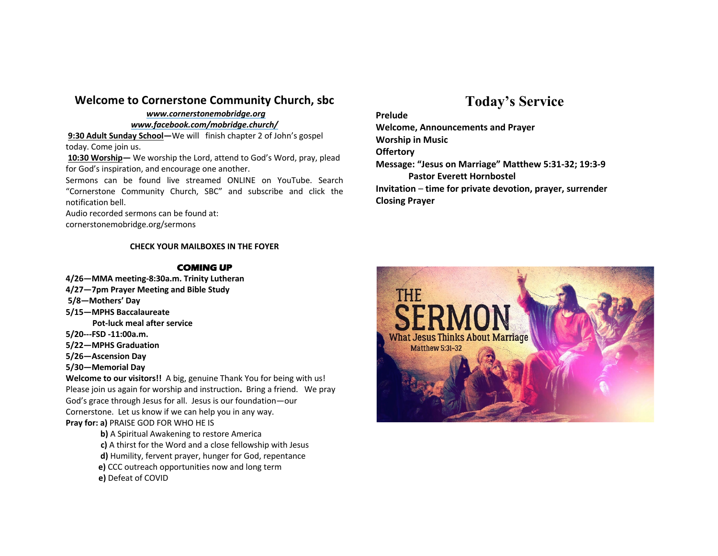## **Welcome to Cornerstone Community Church, sbc**

#### *www.cornerstonemobridge.org*

#### *www.facebook.com/mobridge.church/*

**9:30 Adult Sunday School—**We will finish chapter 2 of John's gospel today. Come join us.

**10:30 Worship—** We worship the Lord, attend to God's Word, pray, plead for God's inspiration, and encourage one another.

Sermons can be found live streamed ONLINE on YouTube. Search "Cornerstone Community Church, SBC" and subscribe and click the notification bell.

Audio recorded sermons can be found at:

cornerstonemobridge.org/sermons

### **CHECK YOUR MAILBOXES IN THE FOYER**

### **COMING UP**

- **4/26—MMA meeting-8:30a.m. Trinity Lutheran**
- **4/27—7pm Prayer Meeting and Bible Study**
- **5/8—Mothers' Day**
- **5/15—MPHS Baccalaureate**
	- **Pot-luck meal after service**
- **5/20---FSD -11:00a.m.**
- **5/22—MPHS Graduation**
- **5/26—Ascension Day**
- **5/30—Memorial Day**

**Welcome to our visitors!!** A big, genuine Thank You for being with us! Please join us again for worship and instruction**.** Bring a friend. We pray God's grace through Jesus for all. Jesus is our foundation—our Cornerstone. Let us know if we can help you in any way. **Pray for: a)** PRAISE GOD FOR WHO HE IS

- **b)** A Spiritual Awakening to restore America
- **c)** A thirst for the Word and a close fellowship with Jesus
- **d)** Humility, fervent prayer, hunger for God, repentance
- **e)** CCC outreach opportunities now and long term
- **e)** Defeat of COVID

# **Today's Service**

**Prelude**

**Welcome, Announcements and Prayer Worship in Music Offertory Message: "Jesus on Marriage" Matthew 5:31-32; 19:3-9 Pastor Everett Hornbostel Invitation** – **time for private devotion, prayer, surrender Closing Prayer**